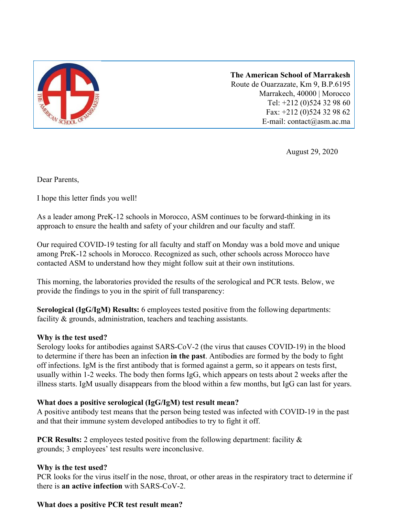

**The American School of Marrakesh** Route de Ouarzazate, Km 9, B.P.6195 Marrakech, 40000 | Morocco Tel: +212 (0)524 32 98 60 Fax: +212 (0)524 32 98 62 E-mail: contact@asm.ac.ma

August 29, 2020

Dear Parents,

I hope this letter finds you well!

As a leader among PreK-12 schools in Morocco, ASM continues to be forward-thinking in its approach to ensure the health and safety of your children and our faculty and staff.

Our required COVID-19 testing for all faculty and staff on Monday was a bold move and unique among PreK-12 schools in Morocco. Recognized as such, other schools across Morocco have contacted ASM to understand how they might follow suit at their own institutions.

This morning, the laboratories provided the results of the serological and PCR tests. Below, we provide the findings to you in the spirit of full transparency:

**Serological (IgG/IgM) Results:** 6 employees tested positive from the following departments: facility & grounds, administration, teachers and teaching assistants.

## **Why is the test used?**

Serology looks for antibodies against SARS-CoV-2 (the virus that causes COVID-19) in the blood to determine if there has been an infection **in the past**. Antibodies are formed by the body to fight off infections. IgM is the first antibody that is formed against a germ, so it appears on tests first, usually within 1-2 weeks. The body then forms IgG, which appears on tests about 2 weeks after the illness starts. IgM usually disappears from the blood within a few months, but IgG can last for years.

## **What does a positive serological (IgG/IgM) test result mean?**

A positive antibody test means that the person being tested was infected with COVID-19 in the past and that their immune system developed antibodies to try to fight it off.

**PCR Results:** 2 employees tested positive from the following department: facility  $\&$ grounds; 3 employees' test results were inconclusive.

## **Why is the test used?**

PCR looks for the virus itself in the nose, throat, or other areas in the respiratory tract to determine if there is **an active infection** with SARS-CoV-2.

## **What does a positive PCR test result mean?**